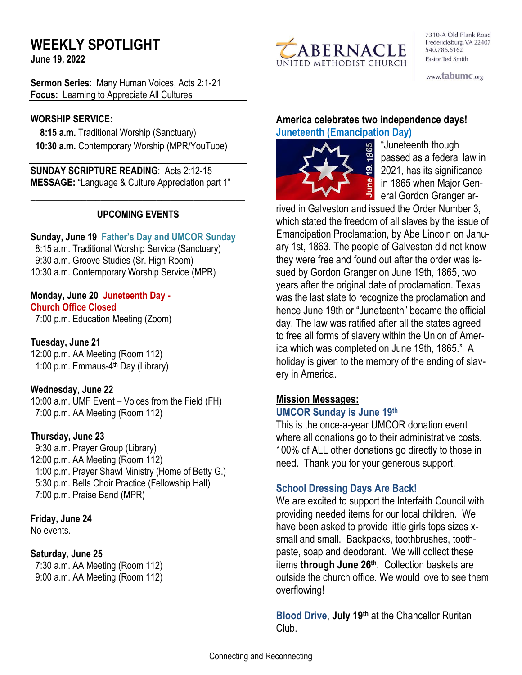# **WEEKLY SPOTLIGHT**

**June 19, 2022** 

**Sermon Series**: Many Human Voices, Acts 2:1-21 **Focus:** Learning to Appreciate All Cultures

#### **WORSHIP SERVICE:**

 **8:15 a.m.** Traditional Worship (Sanctuary)  **10:30 a.m.** Contemporary Worship (MPR/YouTube)

**SUNDAY SCRIPTURE READING**: Acts 2:12-15 **MESSAGE:** "Language & Culture Appreciation part 1"

## **UPCOMING EVENTS**

\_\_\_\_\_\_\_\_\_\_\_\_\_\_\_\_\_\_\_\_\_\_\_\_\_\_\_\_\_\_\_\_\_\_\_\_\_\_\_\_\_\_\_\_\_\_

#### **Sunday, June 19 Father's Day and UMCOR Sunday**

8:15 a.m. Traditional Worship Service (Sanctuary) 9:30 a.m. Groove Studies (Sr. High Room) 10:30 a.m. Contemporary Worship Service (MPR)

## **Monday, June 20 Juneteenth Day - Church Office Closed**

7:00 p.m. Education Meeting (Zoom)

**Tuesday, June 21** 12:00 p.m. AA Meeting (Room 112) 1:00 p.m. Emmaus-4<sup>th</sup> Day (Library)

## **Wednesday, June 22**

10:00 a.m. UMF Event – Voices from the Field (FH) 7:00 p.m. AA Meeting (Room 112)

## **Thursday, June 23**

9:30 a.m. Prayer Group (Library) 12:00 p.m. AA Meeting (Room 112) 1:00 p.m. Prayer Shawl Ministry (Home of Betty G.) 5:30 p.m. Bells Choir Practice (Fellowship Hall) 7:00 p.m. Praise Band (MPR)

#### **Friday, June 24**

No events.

#### **Saturday, June 25**

 7:30 a.m. AA Meeting (Room 112) 9:00 a.m. AA Meeting (Room 112)



7310-A Old Plank Road Fredericksburg, VA 22407 540.786.6162 Pastor Ted Smith

www.tabumc.org

## **America celebrates two independence days! Juneteenth (Emancipation Day)**



"Juneteenth though passed as a federal law in 2021, has its significance in 1865 when Major General Gordon Granger ar-

rived in Galveston and issued the Order Number 3, which stated the freedom of all slaves by the issue of Emancipation Proclamation, by Abe Lincoln on January 1st, 1863. The people of Galveston did not know they were free and found out after the order was issued by Gordon Granger on June 19th, 1865, two years after the original date of proclamation. Texas was the last state to recognize the proclamation and hence June 19th or "Juneteenth" became the official day. The law was ratified after all the states agreed to free all forms of slavery within the Union of America which was completed on June 19th, 1865." A holiday is given to the memory of the ending of slavery in America.

## **Mission Messages:**

#### **UMCOR Sunday is June 19th**

This is the once-a-year UMCOR donation event where all donations go to their administrative costs. 100% of ALL other donations go directly to those in need. Thank you for your generous support.

## **School Dressing Days Are Back!**

We are excited to support the Interfaith Council with providing needed items for our local children. We have been asked to provide little girls tops sizes xsmall and small. Backpacks, toothbrushes, toothpaste, soap and deodorant. We will collect these items **through June 26th** . Collection baskets are outside the church office. We would love to see them overflowing!

**Blood Drive**, **July 19th** at the Chancellor Ruritan Club.